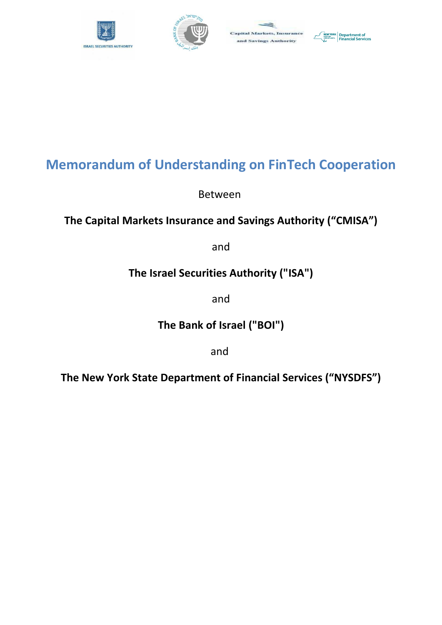





# **Memorandum of Understanding on FinTech Cooperation**

Between

## **The Capital Markets Insurance and Savings Authority ("CMISA")**

and

## **The Israel Securities Authority ("ISA")**

and

**The Bank of Israel ("BOI")**

and

**The New York State Department of Financial Services ("NYSDFS")**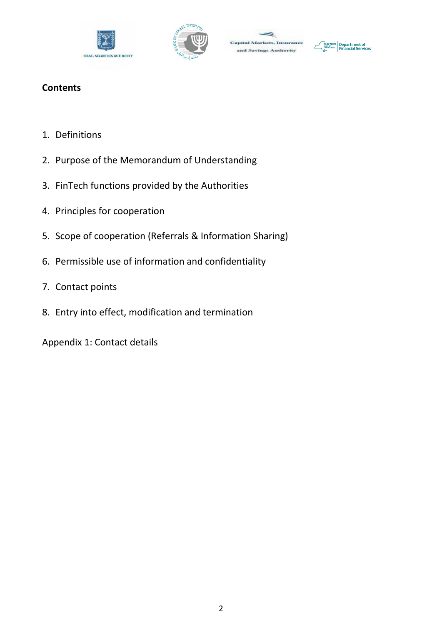





## **Contents**

- 1. Definitions
- 2. Purpose of the Memorandum of Understanding
- 3. FinTech functions provided by the Authorities
- 4. Principles for cooperation
- 5. Scope of cooperation (Referrals & Information Sharing)
- 6. Permissible use of information and confidentiality
- 7. Contact points
- 8. Entry into effect, modification and termination

Appendix 1: Contact details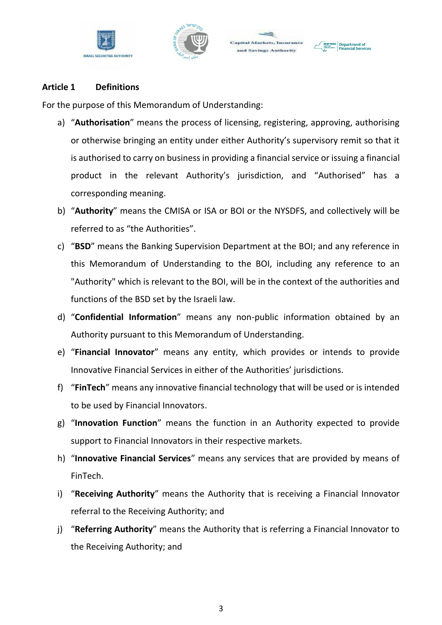





#### **Article 1 Definitions**

For the purpose of this Memorandum of Understanding:

- a) "**Authorisation**" means the process of licensing, registering, approving, authorising or otherwise bringing an entity under either Authority's supervisory remit so that it is authorised to carry on business in providing a financial service or issuing a financial product in the relevant Authority's jurisdiction, and "Authorised" has a corresponding meaning.
- b) "**Authority**" means the CMISA or ISA or BOI or the NYSDFS, and collectively will be referred to as "the Authorities".
- c) "**BSD**" means the Banking Supervision Department at the BOI; and any reference in this Memorandum of Understanding to the BOI, including any reference to an "Authority" which is relevant to the BOI, will be in the context of the authorities and functions of the BSD set by the Israeli law.
- d) "**Confidential Information**" means any non-public information obtained by an Authority pursuant to this Memorandum of Understanding.
- e) "**Financial Innovator**" means any entity, which provides or intends to provide Innovative Financial Services in either of the Authorities' jurisdictions.
- f) "**FinTech**" means any innovative financial technology that will be used or is intended to be used by Financial Innovators.
- g) "**Innovation Function**" means the function in an Authority expected to provide support to Financial Innovators in their respective markets.
- h) "**Innovative Financial Services**" means any services that are provided by means of FinTech.
- i) "**Receiving Authority**" means the Authority that is receiving a Financial Innovator referral to the Receiving Authority; and
- j) "**Referring Authority**" means the Authority that is referring a Financial Innovator to the Receiving Authority; and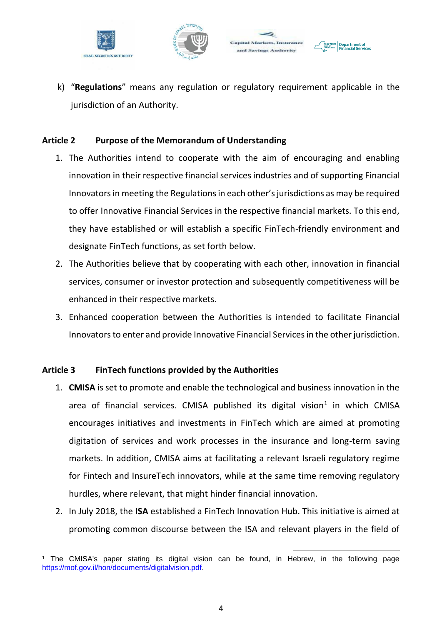



Department of



#### **Article 2 Purpose of the Memorandum of Understanding**

- 1. The Authorities intend to cooperate with the aim of encouraging and enabling innovation in their respective financial services industries and of supporting Financial Innovators in meeting the Regulations in each other's jurisdictions as may be required to offer Innovative Financial Services in the respective financial markets. To this end, they have established or will establish a specific FinTech-friendly environment and designate FinTech functions, as set forth below.
- 2. The Authorities believe that by cooperating with each other, innovation in financial services, consumer or investor protection and subsequently competitiveness will be enhanced in their respective markets.
- 3. Enhanced cooperation between the Authorities is intended to facilitate Financial Innovators to enter and provide Innovative Financial Services in the other jurisdiction.

#### **Article 3 FinTech functions provided by the Authorities**

- 1. **CMISA** is set to promote and enable the technological and business innovation in the area of financial services. CMISA published its digital vision<sup>1</sup> in which CMISA encourages initiatives and investments in FinTech which are aimed at promoting digitation of services and work processes in the insurance and long-term saving markets. In addition, CMISA aims at facilitating a relevant Israeli regulatory regime for Fintech and InsureTech innovators, while at the same time removing regulatory hurdles, where relevant, that might hinder financial innovation.
- 2. In July 2018, the **ISA** established a FinTech Innovation Hub. This initiative is aimed at promoting common discourse between the ISA and relevant players in the field of

1

<sup>&</sup>lt;sup>1</sup> The CMISA's paper stating its digital vision can be found, in Hebrew, in the following page https://mof.gov.il/hon/documents/digitalvision.pdf.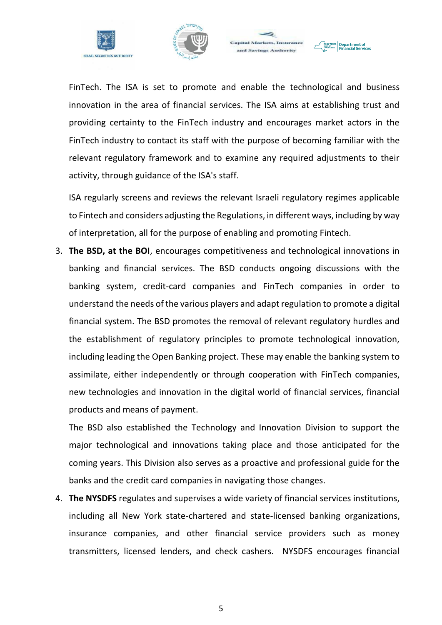





FinTech. The ISA is set to promote and enable the technological and business innovation in the area of financial services. The ISA aims at establishing trust and providing certainty to the FinTech industry and encourages market actors in the FinTech industry to contact its staff with the purpose of becoming familiar with the relevant regulatory framework and to examine any required adjustments to their activity, through guidance of the ISA's staff.

ISA regularly screens and reviews the relevant Israeli regulatory regimes applicable to Fintech and considers adjusting the Regulations, in different ways, including by way of interpretation, all for the purpose of enabling and promoting Fintech.

3. **The BSD, at the BOI**, encourages competitiveness and technological innovations in banking and financial services. The BSD conducts ongoing discussions with the banking system, credit-card companies and FinTech companies in order to understand the needs of the various players and adapt regulation to promote a digital financial system. The BSD promotes the removal of relevant regulatory hurdles and the establishment of regulatory principles to promote technological innovation, including leading the Open Banking project. These may enable the banking system to assimilate, either independently or through cooperation with FinTech companies, new technologies and innovation in the digital world of financial services, financial products and means of payment.

The BSD also established the Technology and Innovation Division to support the major technological and innovations taking place and those anticipated for the coming years. This Division also serves as a proactive and professional guide for the banks and the credit card companies in navigating those changes.

4. **The NYSDFS** regulates and supervises a wide variety of financial services institutions, including all New York state-chartered and state-licensed banking organizations, insurance companies, and other financial service providers such as money transmitters, licensed lenders, and check cashers. NYSDFS encourages financial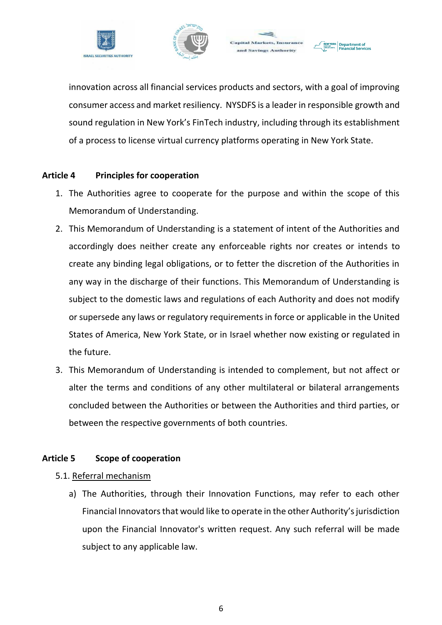



Department of



#### **Article 4 Principles for cooperation**

- 1. The Authorities agree to cooperate for the purpose and within the scope of this Memorandum of Understanding.
- 2. This Memorandum of Understanding is a statement of intent of the Authorities and accordingly does neither create any enforceable rights nor creates or intends to create any binding legal obligations, or to fetter the discretion of the Authorities in any way in the discharge of their functions. This Memorandum of Understanding is subject to the domestic laws and regulations of each Authority and does not modify or supersede any laws or regulatory requirements in force or applicable in the United States of America, New York State, or in Israel whether now existing or regulated in the future.
- 3. This Memorandum of Understanding is intended to complement, but not affect or alter the terms and conditions of any other multilateral or bilateral arrangements concluded between the Authorities or between the Authorities and third parties, or between the respective governments of both countries.

#### **Article 5 Scope of cooperation**

#### 5.1. Referral mechanism

a) The Authorities, through their Innovation Functions, may refer to each other Financial Innovators that would like to operate in the other Authority's jurisdiction upon the Financial Innovator's written request. Any such referral will be made subject to any applicable law.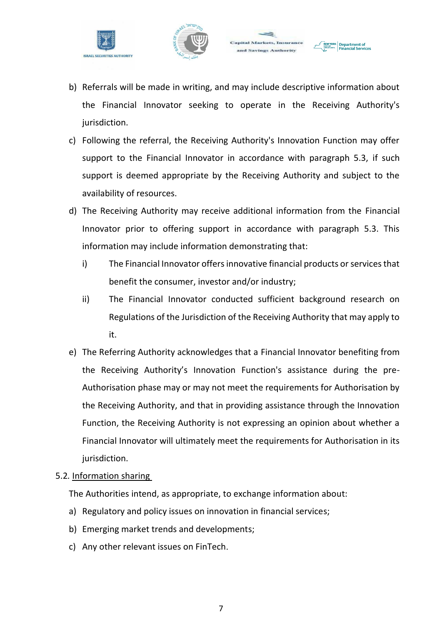



Department of



- c) Following the referral, the Receiving Authority's Innovation Function may offer support to the Financial Innovator in accordance with paragraph 5.3, if such support is deemed appropriate by the Receiving Authority and subject to the availability of resources.
- d) The Receiving Authority may receive additional information from the Financial Innovator prior to offering support in accordance with paragraph 5.3. This information may include information demonstrating that:
	- i) The Financial Innovator offers innovative financial products or services that benefit the consumer, investor and/or industry;
	- ii) The Financial Innovator conducted sufficient background research on Regulations of the Jurisdiction of the Receiving Authority that may apply to it.
- e) The Referring Authority acknowledges that a Financial Innovator benefiting from the Receiving Authority's Innovation Function's assistance during the pre-Authorisation phase may or may not meet the requirements for Authorisation by the Receiving Authority, and that in providing assistance through the Innovation Function, the Receiving Authority is not expressing an opinion about whether a Financial Innovator will ultimately meet the requirements for Authorisation in its jurisdiction.

#### 5.2*.* Information sharing

The Authorities intend, as appropriate, to exchange information about:

- a) Regulatory and policy issues on innovation in financial services;
- b) Emerging market trends and developments;
- c) Any other relevant issues on FinTech.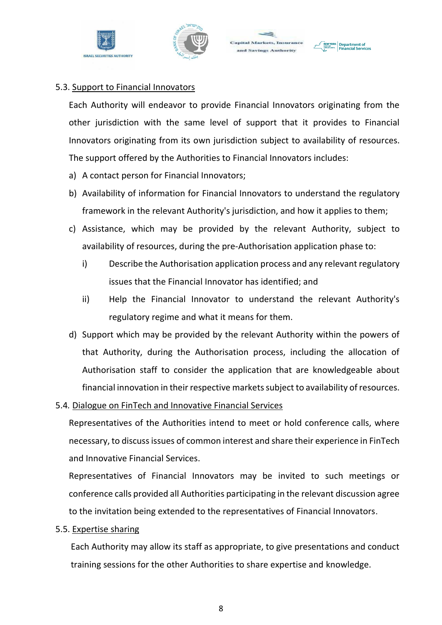





#### 5.3. Support to Financial Innovators

Each Authority will endeavor to provide Financial Innovators originating from the other jurisdiction with the same level of support that it provides to Financial Innovators originating from its own jurisdiction subject to availability of resources. The support offered by the Authorities to Financial Innovators includes:

- a) A contact person for Financial Innovators;
- b) Availability of information for Financial Innovators to understand the regulatory framework in the relevant Authority's jurisdiction, and how it applies to them;
- c) Assistance, which may be provided by the relevant Authority, subject to availability of resources, during the pre-Authorisation application phase to:
	- i) Describe the Authorisation application process and any relevant regulatory issues that the Financial Innovator has identified; and
	- ii) Help the Financial Innovator to understand the relevant Authority's regulatory regime and what it means for them.
- d) Support which may be provided by the relevant Authority within the powers of that Authority, during the Authorisation process, including the allocation of Authorisation staff to consider the application that are knowledgeable about financial innovation in their respective markets subject to availability of resources.
- 5.4*.* Dialogue on FinTech and Innovative Financial Services

Representatives of the Authorities intend to meet or hold conference calls, where necessary, to discuss issues of common interest and share their experience in FinTech and Innovative Financial Services.

Representatives of Financial Innovators may be invited to such meetings or conference calls provided all Authorities participating in the relevant discussion agree to the invitation being extended to the representatives of Financial Innovators.

5.5. Expertise sharing

Each Authority may allow its staff as appropriate, to give presentations and conduct training sessions for the other Authorities to share expertise and knowledge.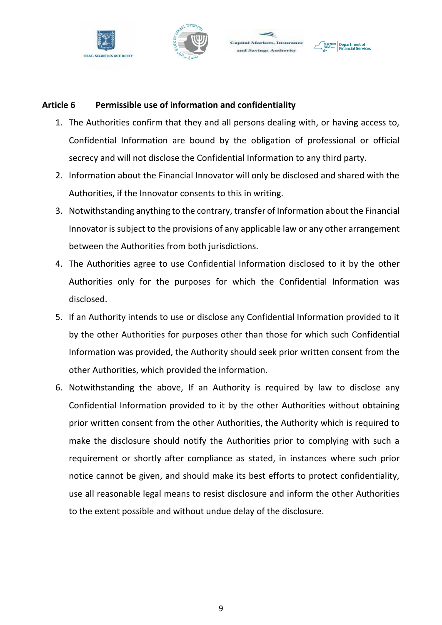





#### **Article 6 Permissible use of information and confidentiality**

- 1. The Authorities confirm that they and all persons dealing with, or having access to, Confidential Information are bound by the obligation of professional or official secrecy and will not disclose the Confidential Information to any third party.
- 2. Information about the Financial Innovator will only be disclosed and shared with the Authorities, if the Innovator consents to this in writing.
- 3. Notwithstanding anything to the contrary, transfer of Information about the Financial Innovator is subject to the provisions of any applicable law or any other arrangement between the Authorities from both jurisdictions.
- 4. The Authorities agree to use Confidential Information disclosed to it by the other Authorities only for the purposes for which the Confidential Information was disclosed.
- 5. If an Authority intends to use or disclose any Confidential Information provided to it by the other Authorities for purposes other than those for which such Confidential Information was provided, the Authority should seek prior written consent from the other Authorities, which provided the information.
- 6. Notwithstanding the above, If an Authority is required by law to disclose any Confidential Information provided to it by the other Authorities without obtaining prior written consent from the other Authorities, the Authority which is required to make the disclosure should notify the Authorities prior to complying with such a requirement or shortly after compliance as stated, in instances where such prior notice cannot be given, and should make its best efforts to protect confidentiality, use all reasonable legal means to resist disclosure and inform the other Authorities to the extent possible and without undue delay of the disclosure.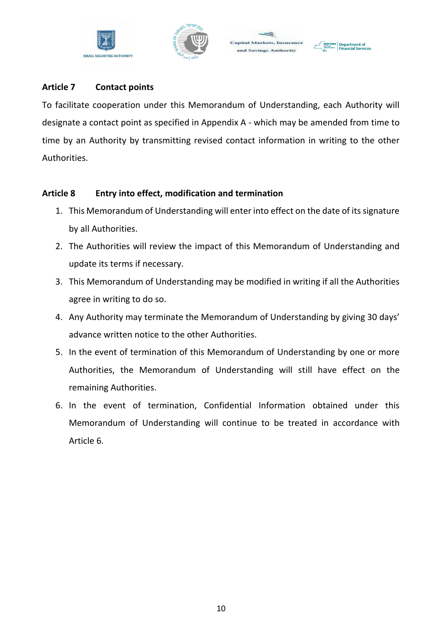





#### **Article 7 Contact points**

To facilitate cooperation under this Memorandum of Understanding, each Authority will designate a contact point as specified in Appendix A - which may be amended from time to time by an Authority by transmitting revised contact information in writing to the other Authorities.

#### **Article 8 Entry into effect, modification and termination**

- 1. This Memorandum of Understanding will enter into effect on the date of its signature by all Authorities.
- 2. The Authorities will review the impact of this Memorandum of Understanding and update its terms if necessary.
- 3. This Memorandum of Understanding may be modified in writing if all the Authorities agree in writing to do so.
- 4. Any Authority may terminate the Memorandum of Understanding by giving 30 days' advance written notice to the other Authorities.
- 5. In the event of termination of this Memorandum of Understanding by one or more Authorities, the Memorandum of Understanding will still have effect on the remaining Authorities.
- 6. In the event of termination, Confidential Information obtained under this Memorandum of Understanding will continue to be treated in accordance with Article 6.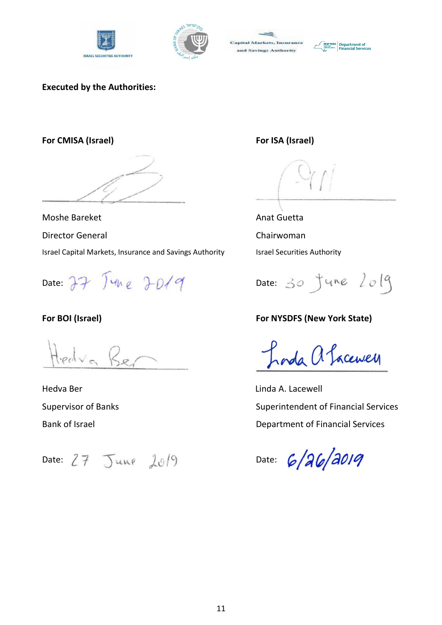





#### **Executed by the Authorities:**

**For CMISA (Israel) For ISA (Israel)**

Moshe Bareket **Anat Guetta** Anat Guetta

Director General Chairwoman

Israel Capital Markets, Insurance and Savings Authority **Interpolation** Israel Securities Authority

edva Be

Hedva Ber Linda A. Lacewell

Date: 27 June 2019 Date: 30 June 2019

## **For BOI (Israel) For NYSDFS (New York State)**

Inda a Sacewell

Supervisor of Banks Superintendent of Financial Services Bank of Israel **Bank of Israel** Department of Financial Services

Date:  $27$  June  $10^{9}$  Date: 6/26/2019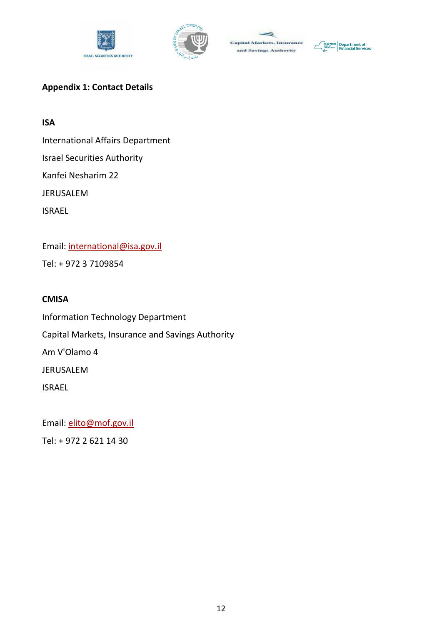





## **Appendix 1: Contact Details**

### **ISA**

International Affairs Department

Israel Securities Authority

Kanfei Nesharim 22

JERUSALEM

ISRAEL

Email: international@isa.gov.il Tel: + 972 3 7109854

## **CMISA**

Information Technology Department Capital Markets, Insurance and Savings Authority Am V'Olamo 4 JERUSALEM ISRAEL

Email: elito@mof.gov.il

Tel: + 972 2 621 14 30